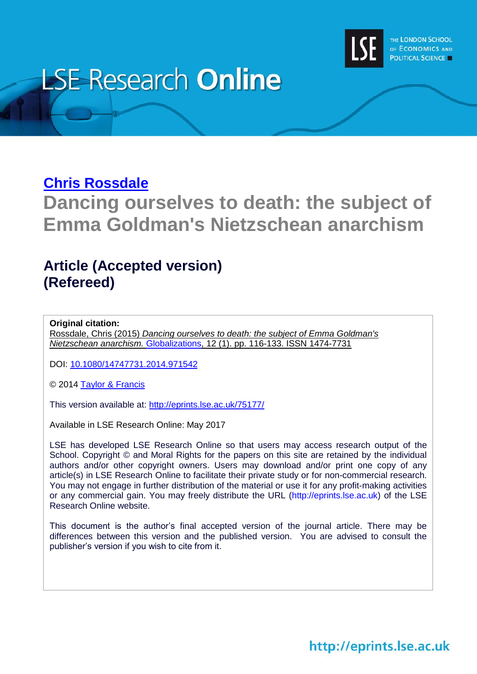

# **LSE Research Online**

## **[Chris Rossdale](http://www.lse.ac.uk/researchAndExpertise/Experts/profile.aspx?KeyValue=c.rossdale@lse.ac.uk)**

**Dancing ourselves to death: the subject of Emma Goldman's Nietzschean anarchism**

## **Article (Accepted version) (Refereed)**

#### **Original citation:**

Rossdale, Chris (2015) *Dancing ourselves to death: the subject of Emma Goldman's Nietzschean anarchism.* [Globalizations,](http://www.tandfonline.com/toc/rglo20/current) 12 (1). pp. 116-133. ISSN 1474-7731

DOI: [10.1080/14747731.2014.971542](http://dx.doi.org/10.1080/14747731.2014.971542)

© 2014 Taylor [& Francis](http://taylorandfrancis.com/)

This version available at:<http://eprints.lse.ac.uk/75177/>

Available in LSE Research Online: May 2017

LSE has developed LSE Research Online so that users may access research output of the School. Copyright © and Moral Rights for the papers on this site are retained by the individual authors and/or other copyright owners. Users may download and/or print one copy of any article(s) in LSE Research Online to facilitate their private study or for non-commercial research. You may not engage in further distribution of the material or use it for any profit-making activities or any commercial gain. You may freely distribute the URL (http://eprints.lse.ac.uk) of the LSE Research Online website.

This document is the author's final accepted version of the journal article. There may be differences between this version and the published version. You are advised to consult the publisher's version if you wish to cite from it.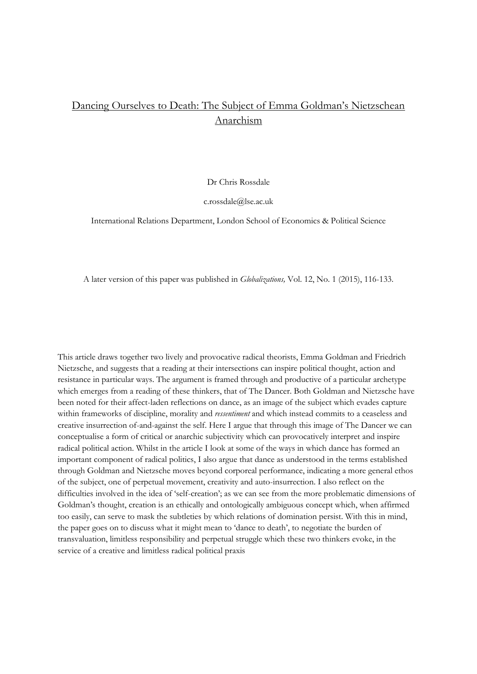### Dancing Ourselves to Death: The Subject of Emma Goldman's Nietzschean Anarchism

Dr Chris Rossdale

c.rossdale@lse.ac.uk

International Relations Department, London School of Economics & Political Science

A later version of this paper was published in *Globalizations,* Vol. 12, No. 1 (2015), 116-133.

This article draws together two lively and provocative radical theorists, Emma Goldman and Friedrich Nietzsche, and suggests that a reading at their intersections can inspire political thought, action and resistance in particular ways. The argument is framed through and productive of a particular archetype which emerges from a reading of these thinkers, that of The Dancer. Both Goldman and Nietzsche have been noted for their affect-laden reflections on dance, as an image of the subject which evades capture within frameworks of discipline, morality and *ressentiment* and which instead commits to a ceaseless and creative insurrection of-and-against the self. Here I argue that through this image of The Dancer we can conceptualise a form of critical or anarchic subjectivity which can provocatively interpret and inspire radical political action. Whilst in the article I look at some of the ways in which dance has formed an important component of radical politics, I also argue that dance as understood in the terms established through Goldman and Nietzsche moves beyond corporeal performance, indicating a more general ethos of the subject, one of perpetual movement, creativity and auto-insurrection. I also reflect on the difficulties involved in the idea of 'self-creation'; as we can see from the more problematic dimensions of Goldman's thought, creation is an ethically and ontologically ambiguous concept which, when affirmed too easily, can serve to mask the subtleties by which relations of domination persist. With this in mind, the paper goes on to discuss what it might mean to 'dance to death', to negotiate the burden of transvaluation, limitless responsibility and perpetual struggle which these two thinkers evoke, in the service of a creative and limitless radical political praxis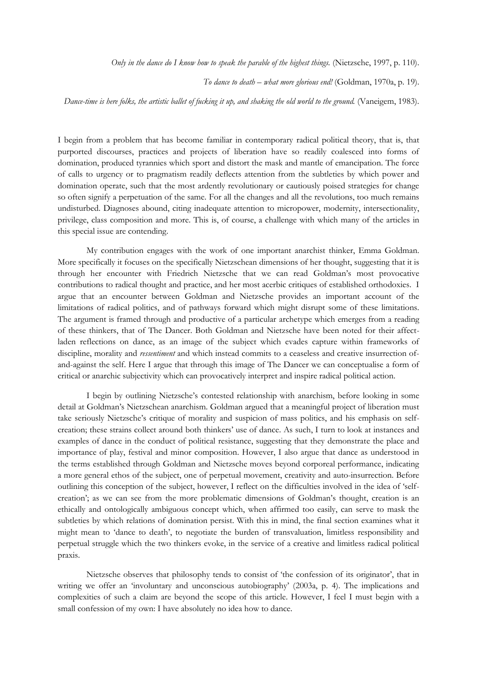*Only in the dance do I know how to speak the parable of the highest things.* (Nietzsche, 1997, p. 110).

*To dance to death – what more glorious end!* (Goldman, 1970a, p. 19).

Dance-time is here folks, the artistic ballet of fucking it up, and shaking the old world to the ground. (Vaneigem, 1983).

I begin from a problem that has become familiar in contemporary radical political theory, that is, that purported discourses, practices and projects of liberation have so readily coalesced into forms of domination, produced tyrannies which sport and distort the mask and mantle of emancipation. The force of calls to urgency or to pragmatism readily deflects attention from the subtleties by which power and domination operate, such that the most ardently revolutionary or cautiously poised strategies for change so often signify a perpetuation of the same. For all the changes and all the revolutions, too much remains undisturbed. Diagnoses abound, citing inadequate attention to micropower, modernity, intersectionality, privilege, class composition and more. This is, of course, a challenge with which many of the articles in this special issue are contending.

My contribution engages with the work of one important anarchist thinker, Emma Goldman. More specifically it focuses on the specifically Nietzschean dimensions of her thought, suggesting that it is through her encounter with Friedrich Nietzsche that we can read Goldman's most provocative contributions to radical thought and practice, and her most acerbic critiques of established orthodoxies. I argue that an encounter between Goldman and Nietzsche provides an important account of the limitations of radical politics, and of pathways forward which might disrupt some of these limitations. The argument is framed through and productive of a particular archetype which emerges from a reading of these thinkers, that of The Dancer. Both Goldman and Nietzsche have been noted for their affectladen reflections on dance, as an image of the subject which evades capture within frameworks of discipline, morality and *ressentiment* and which instead commits to a ceaseless and creative insurrection ofand-against the self. Here I argue that through this image of The Dancer we can conceptualise a form of critical or anarchic subjectivity which can provocatively interpret and inspire radical political action.

I begin by outlining Nietzsche's contested relationship with anarchism, before looking in some detail at Goldman's Nietzschean anarchism. Goldman argued that a meaningful project of liberation must take seriously Nietzsche's critique of morality and suspicion of mass politics, and his emphasis on selfcreation; these strains collect around both thinkers' use of dance. As such, I turn to look at instances and examples of dance in the conduct of political resistance, suggesting that they demonstrate the place and importance of play, festival and minor composition. However, I also argue that dance as understood in the terms established through Goldman and Nietzsche moves beyond corporeal performance, indicating a more general ethos of the subject, one of perpetual movement, creativity and auto-insurrection. Before outlining this conception of the subject, however, I reflect on the difficulties involved in the idea of 'selfcreation'; as we can see from the more problematic dimensions of Goldman's thought, creation is an ethically and ontologically ambiguous concept which, when affirmed too easily, can serve to mask the subtleties by which relations of domination persist. With this in mind, the final section examines what it might mean to 'dance to death', to negotiate the burden of transvaluation, limitless responsibility and perpetual struggle which the two thinkers evoke, in the service of a creative and limitless radical political praxis.

Nietzsche observes that philosophy tends to consist of 'the confession of its originator', that in writing we offer an 'involuntary and unconscious autobiography' (2003a, p. 4). The implications and complexities of such a claim are beyond the scope of this article. However, I feel I must begin with a small confession of my own: I have absolutely no idea how to dance.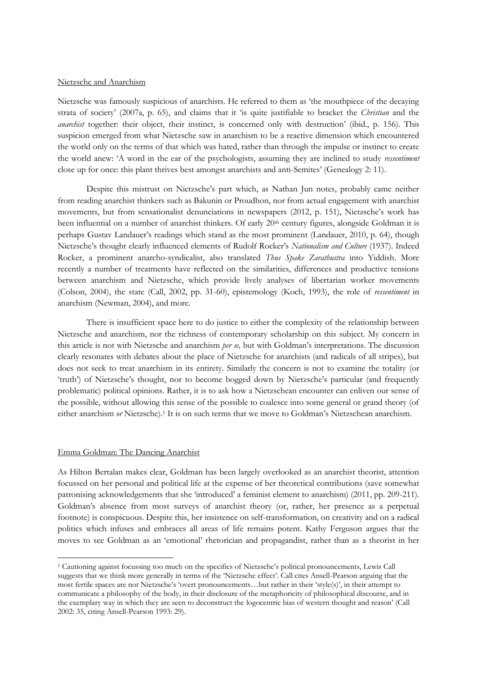#### Nietzsche and Anarchism

Nietzsche was famously suspicious of anarchists. He referred to them as 'the mouthpiece of the decaying strata of society' (2007a, p. 65), and claims that it 'is quite justifiable to bracket the *Christian* and the *anarchist* together: their object, their instinct, is concerned only with destruction' (ibid., p. 156). This suspicion emerged from what Nietzsche saw in anarchism to be a reactive dimension which encountered the world only on the terms of that which was hated, rather than through the impulse or instinct to create the world anew: 'A word in the ear of the psychologists, assuming they are inclined to study *ressentiment*  close up for once: this plant thrives best amongst anarchists and anti-Semites' (Genealogy 2: 11).

Despite this mistrust on Nietzsche's part which, as Nathan Jun notes, probably came neither from reading anarchist thinkers such as Bakunin or Proudhon, nor from actual engagement with anarchist movements, but from sensationalist denunciations in newspapers (2012, p. 151), Nietzsche's work has been influential on a number of anarchist thinkers. Of early 20<sup>th</sup> century figures, alongside Goldman it is perhaps Gustav Landauer's readings which stand as the most prominent (Landauer, 2010, p. 64), though Nietzsche's thought clearly influenced elements of Rudolf Rocker's *Nationalism and Culture* (1937). Indeed Rocker, a prominent anarcho-syndicalist, also translated *Thus Spake Zarathustra* into Yiddish. More recently a number of treatments have reflected on the similarities, differences and productive tensions between anarchism and Nietzsche, which provide lively analyses of libertarian worker movements (Colson, 2004), the state (Call, 2002, pp. 31-60), epistemology (Koch, 1993), the role of *ressentiment* in anarchism (Newman, 2004), and more.

There is insufficient space here to do justice to either the complexity of the relationship between Nietzsche and anarchism, nor the richness of contemporary scholarship on this subject. My concern in this article is not with Nietzsche and anarchism *per se,* but with Goldman's interpretations. The discussion clearly resonates with debates about the place of Nietzsche for anarchists (and radicals of all stripes), but does not seek to treat anarchism in its entirety. Similarly the concern is not to examine the totality (or 'truth') of Nietzsche's thought, nor to become bogged down by Nietzsche's particular (and frequently problematic) political opinions. Rather, it is to ask how a Nietzschean encounter can enliven our sense of the possible, without allowing this sense of the possible to coalesce into some general or grand theory (of either anarchism *or* Nietzsche).<sup>1</sup> It is on such terms that we move to Goldman's Nietzschean anarchism.

#### Emma Goldman: The Dancing Anarchist

1

As Hilton Bertalan makes clear, Goldman has been largely overlooked as an anarchist theorist, attention focussed on her personal and political life at the expense of her theoretical contributions (save somewhat patronising acknowledgements that she 'introduced' a feminist element to anarchism) (2011, pp. 209-211). Goldman's absence from most surveys of anarchist theory (or, rather, her presence as a perpetual footnote) is conspicuous. Despite this, her insistence on self-transformation, on creativity and on a radical politics which infuses and embraces all areas of life remains potent. Kathy Ferguson argues that the moves to see Goldman as an 'emotional' rhetorician and propagandist, rather than as a theorist in her

<sup>1</sup> Cautioning against focussing too much on the specifics of Nietzsche's political pronouncements, Lewis Call suggests that we think more generally in terms of the 'Nietzsche effect'. Call cites Ansell-Pearson arguing that the most fertile spaces are not Nietzsche's 'overt pronouncements…but rather in their 'style(s)', in their attempt to communicate a philosophy of the body, in their disclosure of the metaphoricity of philosophical discourse, and in the exemplary way in which they are seen to deconstruct the logocentric bias of western thought and reason' (Call 2002: 35, citing Ansell-Pearson 1993: 29).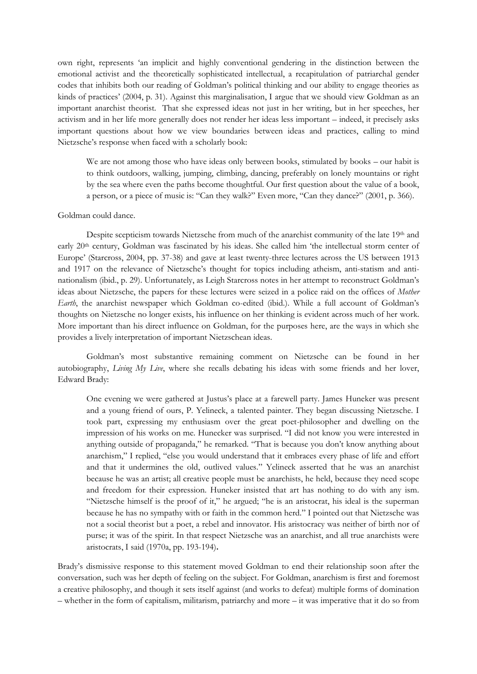own right, represents 'an implicit and highly conventional gendering in the distinction between the emotional activist and the theoretically sophisticated intellectual, a recapitulation of patriarchal gender codes that inhibits both our reading of Goldman's political thinking and our ability to engage theories as kinds of practices' (2004, p. 31). Against this marginalisation, I argue that we should view Goldman as an important anarchist theorist. That she expressed ideas not just in her writing, but in her speeches, her activism and in her life more generally does not render her ideas less important – indeed, it precisely asks important questions about how we view boundaries between ideas and practices, calling to mind Nietzsche's response when faced with a scholarly book:

We are not among those who have ideas only between books, stimulated by books – our habit is to think outdoors, walking, jumping, climbing, dancing, preferably on lonely mountains or right by the sea where even the paths become thoughtful. Our first question about the value of a book, a person, or a piece of music is: "Can they walk?" Even more, "Can they dance?" (2001, p. 366).

#### Goldman could dance.

Despite scepticism towards Nietzsche from much of the anarchist community of the late 19<sup>th</sup> and early 20th century, Goldman was fascinated by his ideas. She called him 'the intellectual storm center of Europe' (Starcross, 2004, pp. 37-38) and gave at least twenty-three lectures across the US between 1913 and 1917 on the relevance of Nietzsche's thought for topics including atheism, anti-statism and antinationalism (ibid., p. 29). Unfortunately, as Leigh Starcross notes in her attempt to reconstruct Goldman's ideas about Nietzsche, the papers for these lectures were seized in a police raid on the offices of *Mother Earth*, the anarchist newspaper which Goldman co-edited (ibid.). While a full account of Goldman's thoughts on Nietzsche no longer exists, his influence on her thinking is evident across much of her work. More important than his direct influence on Goldman, for the purposes here, are the ways in which she provides a lively interpretation of important Nietzschean ideas.

Goldman's most substantive remaining comment on Nietzsche can be found in her autobiography, *Living My Live*, where she recalls debating his ideas with some friends and her lover, Edward Brady:

One evening we were gathered at Justus's place at a farewell party. James Huneker was present and a young friend of ours, P. Yelineck, a talented painter. They began discussing Nietzsche. I took part, expressing my enthusiasm over the great poet-philosopher and dwelling on the impression of his works on me. Hunecker was surprised. "I did not know you were interested in anything outside of propaganda," he remarked. "That is because you don't know anything about anarchism," I replied, "else you would understand that it embraces every phase of life and effort and that it undermines the old, outlived values." Yelineck asserted that he was an anarchist because he was an artist; all creative people must be anarchists, he held, because they need scope and freedom for their expression. Huneker insisted that art has nothing to do with any ism. "Nietzsche himself is the proof of it," he argued; "he is an aristocrat, his ideal is the superman because he has no sympathy with or faith in the common herd." I pointed out that Nietzsche was not a social theorist but a poet, a rebel and innovator. His aristocracy was neither of birth nor of purse; it was of the spirit. In that respect Nietzsche was an anarchist, and all true anarchists were aristocrats, I said (1970a, pp. 193-194)**.** 

Brady's dismissive response to this statement moved Goldman to end their relationship soon after the conversation, such was her depth of feeling on the subject. For Goldman, anarchism is first and foremost a creative philosophy, and though it sets itself against (and works to defeat) multiple forms of domination – whether in the form of capitalism, militarism, patriarchy and more – it was imperative that it do so from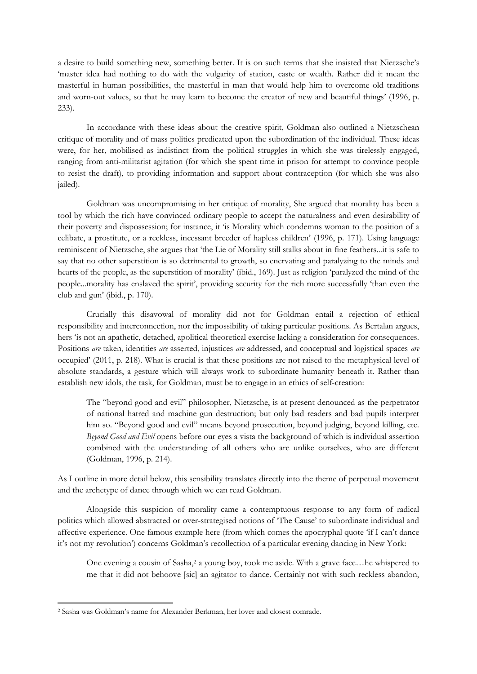a desire to build something new, something better. It is on such terms that she insisted that Nietzsche's 'master idea had nothing to do with the vulgarity of station, caste or wealth. Rather did it mean the masterful in human possibilities, the masterful in man that would help him to overcome old traditions and worn-out values, so that he may learn to become the creator of new and beautiful things' (1996, p. 233).

In accordance with these ideas about the creative spirit, Goldman also outlined a Nietzschean critique of morality and of mass politics predicated upon the subordination of the individual. These ideas were, for her, mobilised as indistinct from the political struggles in which she was tirelessly engaged, ranging from anti-militarist agitation (for which she spent time in prison for attempt to convince people to resist the draft), to providing information and support about contraception (for which she was also jailed).

Goldman was uncompromising in her critique of morality, She argued that morality has been a tool by which the rich have convinced ordinary people to accept the naturalness and even desirability of their poverty and dispossession; for instance, it 'is Morality which condemns woman to the position of a celibate, a prostitute, or a reckless, incessant breeder of hapless children' (1996, p. 171). Using language reminiscent of Nietzsche, she argues that 'the Lie of Morality still stalks about in fine feathers...it is safe to say that no other superstition is so detrimental to growth, so enervating and paralyzing to the minds and hearts of the people, as the superstition of morality' (ibid., 169). Just as religion 'paralyzed the mind of the people...morality has enslaved the spirit', providing security for the rich more successfully 'than even the club and gun' (ibid., p. 170).

Crucially this disavowal of morality did not for Goldman entail a rejection of ethical responsibility and interconnection, nor the impossibility of taking particular positions. As Bertalan argues, hers 'is not an apathetic, detached, apolitical theoretical exercise lacking a consideration for consequences. Positions *are* taken, identities *are* asserted, injustices *are* addressed, and conceptual and logistical spaces *are*  occupied' (2011, p. 218). What is crucial is that these positions are not raised to the metaphysical level of absolute standards, a gesture which will always work to subordinate humanity beneath it. Rather than establish new idols, the task, for Goldman, must be to engage in an ethics of self-creation:

The "beyond good and evil" philosopher, Nietzsche, is at present denounced as the perpetrator of national hatred and machine gun destruction; but only bad readers and bad pupils interpret him so. "Beyond good and evil" means beyond prosecution, beyond judging, beyond killing, etc. *Beyond Good and Evil* opens before our eyes a vista the background of which is individual assertion combined with the understanding of all others who are unlike ourselves, who are different (Goldman, 1996, p. 214).

As I outline in more detail below, this sensibility translates directly into the theme of perpetual movement and the archetype of dance through which we can read Goldman.

Alongside this suspicion of morality came a contemptuous response to any form of radical politics which allowed abstracted or over-strategised notions of 'The Cause' to subordinate individual and affective experience. One famous example here (from which comes the apocryphal quote 'if I can't dance it's not my revolution') concerns Goldman's recollection of a particular evening dancing in New York:

One evening a cousin of Sasha,<sup>2</sup> a young boy, took me aside. With a grave face…he whispered to me that it did not behoove [sic] an agitator to dance. Certainly not with such reckless abandon,

<sup>2</sup> Sasha was Goldman's name for Alexander Berkman, her lover and closest comrade.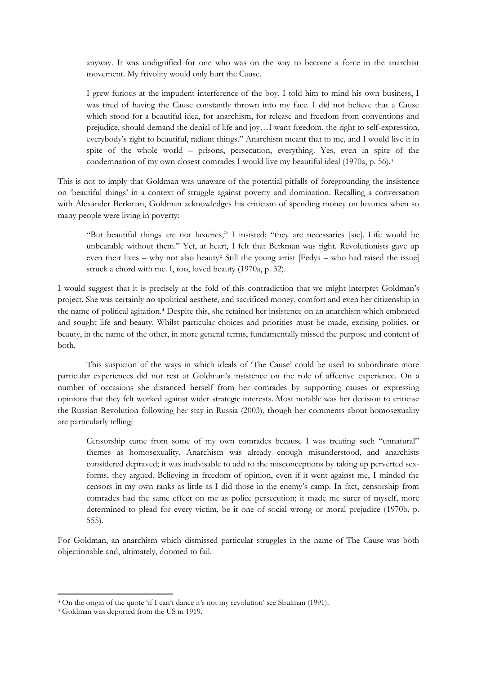anyway. It was undignified for one who was on the way to become a force in the anarchist movement. My frivolity would only hurt the Cause.

I grew furious at the impudent interference of the boy. I told him to mind his own business, I was tired of having the Cause constantly thrown into my face. I did not believe that a Cause which stood for a beautiful idea, for anarchism, for release and freedom from conventions and prejudice, should demand the denial of life and joy…I want freedom, the right to self-expression, everybody's right to beautiful, radiant things." Anarchism meant that to me, and I would live it in spite of the whole world – prisons, persecution, everything. Yes, even in spite of the condemnation of my own closest comrades I would live my beautiful ideal (1970a, p. 56).<sup>3</sup>

This is not to imply that Goldman was unaware of the potential pitfalls of foregrounding the insistence on 'beautiful things' in a context of struggle against poverty and domination. Recalling a conversation with Alexander Berkman, Goldman acknowledges his criticism of spending money on luxuries when so many people were living in poverty:

"But beautiful things are not luxuries," I insisted; "they are necessaries [sic]. Life would be unbearable without them." Yet, at heart, I felt that Berkman was right. Revolutionists gave up even their lives – why not also beauty? Still the young artist [Fedya – who had raised the issue] struck a chord with me. I, too, loved beauty (1970a, p. 32).

I would suggest that it is precisely at the fold of this contradiction that we might interpret Goldman's project. She was certainly no apolitical aesthete, and sacrificed money, comfort and even her citizenship in the name of political agitation.<sup>4</sup> Despite this, she retained her insistence on an anarchism which embraced and sought life and beauty. Whilst particular choices and priorities must be made, excising politics, or beauty, in the name of the other, in more general terms, fundamentally missed the purpose and content of both.

This suspicion of the ways in which ideals of 'The Cause' could be used to subordinate more particular experiences did not rest at Goldman's insistence on the role of affective experience. On a number of occasions she distanced herself from her comrades by supporting causes or expressing opinions that they felt worked against wider strategic interests. Most notable was her decision to criticise the Russian Revolution following her stay in Russia (2003), though her comments about homosexuality are particularly telling:

Censorship came from some of my own comrades because I was treating such "unnatural" themes as homosexuality. Anarchism was already enough misunderstood, and anarchists considered depraved; it was inadvisable to add to the misconceptions by taking up perverted sexforms, they argued. Believing in freedom of opinion, even if it went against me, I minded the censors in my own ranks as little as I did those in the enemy's camp. In fact, censorship from comrades had the same effect on me as police persecution; it made me surer of myself, more determined to plead for every victim, be it one of social wrong or moral prejudice (1970b, p. 555).

For Goldman, an anarchism which dismissed particular struggles in the name of The Cause was both objectionable and, ultimately, doomed to fail.

<sup>&</sup>lt;sup>3</sup> On the origin of the quote 'if I can't dance it's not my revolution' see Shulman (1991).

<sup>4</sup> Goldman was deported from the US in 1919.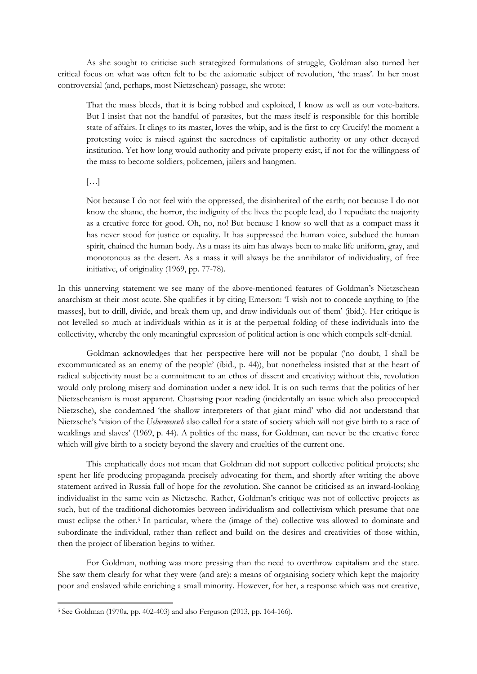As she sought to criticise such strategized formulations of struggle, Goldman also turned her critical focus on what was often felt to be the axiomatic subject of revolution, 'the mass'. In her most controversial (and, perhaps, most Nietzschean) passage, she wrote:

That the mass bleeds, that it is being robbed and exploited, I know as well as our vote-baiters. But I insist that not the handful of parasites, but the mass itself is responsible for this horrible state of affairs. It clings to its master, loves the whip, and is the first to cry Crucify! the moment a protesting voice is raised against the sacredness of capitalistic authority or any other decayed institution. Yet how long would authority and private property exist, if not for the willingness of the mass to become soldiers, policemen, jailers and hangmen.

 $[...]$ 

Not because I do not feel with the oppressed, the disinherited of the earth; not because I do not know the shame, the horror, the indignity of the lives the people lead, do I repudiate the majority as a creative force for good. Oh, no, no! But because I know so well that as a compact mass it has never stood for justice or equality. It has suppressed the human voice, subdued the human spirit, chained the human body. As a mass its aim has always been to make life uniform, gray, and monotonous as the desert. As a mass it will always be the annihilator of individuality, of free initiative, of originality (1969, pp. 77-78).

In this unnerving statement we see many of the above-mentioned features of Goldman's Nietzschean anarchism at their most acute. She qualifies it by citing Emerson: 'I wish not to concede anything to [the masses], but to drill, divide, and break them up, and draw individuals out of them' (ibid.). Her critique is not levelled so much at individuals within as it is at the perpetual folding of these individuals into the collectivity, whereby the only meaningful expression of political action is one which compels self-denial.

Goldman acknowledges that her perspective here will not be popular ('no doubt, I shall be excommunicated as an enemy of the people' (ibid., p. 44)), but nonetheless insisted that at the heart of radical subjectivity must be a commitment to an ethos of dissent and creativity; without this, revolution would only prolong misery and domination under a new idol. It is on such terms that the politics of her Nietzscheanism is most apparent. Chastising poor reading (incidentally an issue which also preoccupied Nietzsche), she condemned 'the shallow interpreters of that giant mind' who did not understand that Nietzsche's 'vision of the *Uebermensch* also called for a state of society which will not give birth to a race of weaklings and slaves' (1969, p. 44). A politics of the mass, for Goldman, can never be the creative force which will give birth to a society beyond the slavery and cruelties of the current one.

This emphatically does not mean that Goldman did not support collective political projects; she spent her life producing propaganda precisely advocating for them, and shortly after writing the above statement arrived in Russia full of hope for the revolution. She cannot be criticised as an inward-looking individualist in the same vein as Nietzsche. Rather, Goldman's critique was not of collective projects as such, but of the traditional dichotomies between individualism and collectivism which presume that one must eclipse the other.<sup>5</sup> In particular, where the (image of the) collective was allowed to dominate and subordinate the individual, rather than reflect and build on the desires and creativities of those within, then the project of liberation begins to wither.

For Goldman, nothing was more pressing than the need to overthrow capitalism and the state. She saw them clearly for what they were (and are): a means of organising society which kept the majority poor and enslaved while enriching a small minority. However, for her, a response which was not creative,

<sup>5</sup> See Goldman (1970a, pp. 402-403) and also Ferguson (2013, pp. 164-166).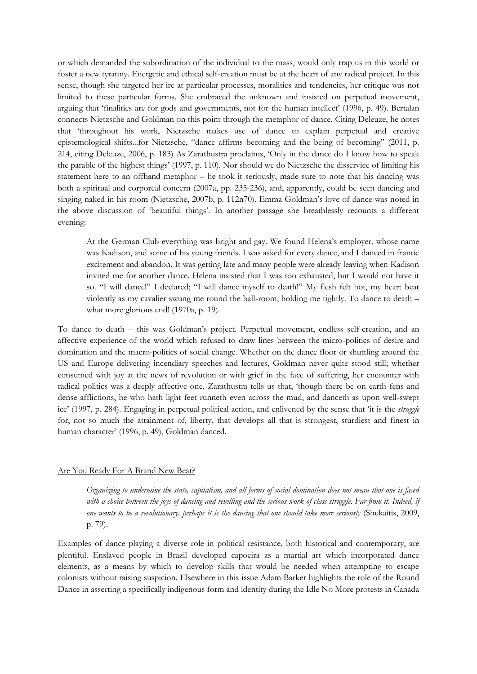or which demanded the subordination of the individual to the mass, would only trap us in this world or foster a new tyranny. Energetic and ethical self-creation must be at the heart of any radical project. In this sense, though she targeted her ire at particular processes, moralities and tendencies, her critique was not limited to these particular forms. She embraced the unknown and insisted on perpetual movement, arguing that 'finalities are for gods and governments, not for the human intellect' (1996, p. 49). Bertalan connects Nietzsche and Goldman on this point through the metaphor of dance. Citing Deleuze, he notes that 'throughout his work, Nietzsche makes use of dance to explain perpetual and creative epistemological shifts...for Nietzsche, "dance affirms becoming and the being of becoming" (2011, p. 214, citing Deleuze, 2006, p. 183) As Zarathustra proclaims, 'Only in the dance do I know how to speak the parable of the highest things' (1997, p. 110). Nor should we do Nietzsche the disservice of limiting his statement here to an offhand metaphor – he took it seriously, made sure to note that his dancing was both a spiritual and corporeal concern (2007a, pp. 235-236), and, apparently, could be seen dancing and singing naked in his room (Nietzsche, 2007b, p. 112n70). Emma Goldman's love of dance was noted in the above discussion of 'beautiful things'. In another passage she breathlessly recounts a different evening:

At the German Club everything was bright and gay. We found Helena's employer, whose name was Kadison, and some of his young friends. I was asked for every dance, and I danced in frantic excitement and abandon. It was getting late and many people were already leaving when Kadison invited me for another dance. Helena insisted that I was too exhausted, but I would not have it so. "I will dance!" I declared; "I will dance myself to death!" My flesh felt hot, my heart beat violently as my cavalier swung me round the ball-room, holding me tightly. To dance to death – what more glorious end! (1970a, p. 19).

To dance to death – this was Goldman's project. Perpetual movement, endless self-creation, and an affective experience of the world which refused to draw lines between the micro-politics of desire and domination and the macro-politics of social change. Whether on the dance floor or shuttling around the US and Europe delivering incendiary speeches and lectures, Goldman never quite stood still; whether consumed with joy at the news of revolution or with grief in the face of suffering, her encounter with radical politics was a deeply affective one. Zarathustra tells us that, 'though there be on earth fens and dense afflictions, he who hath light feet runneth even across the mud, and danceth as upon well-swept ice' (1997, p. 284). Engaging in perpetual political action, and enlivened by the sense that 'it is the *struggle* for, not so much the attainment of, liberty, that develops all that is strongest, sturdiest and finest in human character' (1996, p. 49), Goldman danced.

#### Are You Ready For A Brand New Beat?

*Organizing to undermine the state, capitalism, and all forms of social domination does not mean that one is faced with a choice between the joys of dancing and revelling and the serious work of class struggle. Far from it. Indeed, if one wants to be a revolutionary, perhaps it is the dancing that one should take more seriously* (Shukaitis, 2009, p. 79).

Examples of dance playing a diverse role in political resistance, both historical and contemporary, are plentiful. Enslaved people in Brazil developed capoeira as a martial art which incorporated dance elements, as a means by which to develop skills that would be needed when attempting to escape colonists without raising suspicion. Elsewhere in this issue Adam Barker highlights the role of the Round Dance in asserting a specifically indigenous form and identity during the Idle No More protests in Canada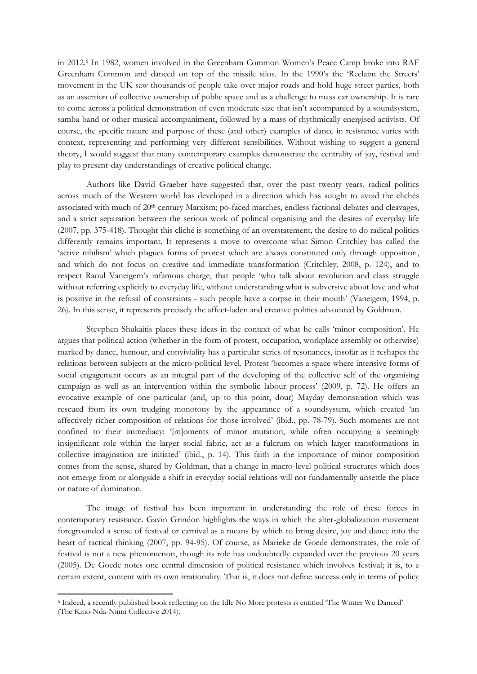in 2012.<sup>6</sup> In 1982, women involved in the Greenham Common Women's Peace Camp broke into RAF Greenham Common and danced on top of the missile silos. In the 1990's the 'Reclaim the Streets' movement in the UK saw thousands of people take over major roads and hold huge street parties, both as an assertion of collective ownership of public space and as a challenge to mass car ownership. It is rare to come across a political demonstration of even moderate size that isn't accompanied by a soundsystem, samba band or other musical accompaniment, followed by a mass of rhythmically energised activists. Of course, the specific nature and purpose of these (and other) examples of dance in resistance varies with context, representing and performing very different sensibilities. Without wishing to suggest a general theory, I would suggest that many contemporary examples demonstrate the centrality of joy, festival and play to present-day understandings of creative political change.

Authors like David Graeber have suggested that, over the past twenty years, radical politics across much of the Western world has developed in a direction which has sought to avoid the clichés associated with much of 20<sup>th</sup> century Marxism; po-faced marches, endless factional debates and cleavages, and a strict separation between the serious work of political organising and the desires of everyday life (2007, pp. 375-418). Thought this cliché is something of an overstatement, the desire to do radical politics differently remains important. It represents a move to overcome what Simon Critchley has called the 'active nihilism' which plagues forms of protest which are always constituted only through opposition, and which do not focus on creative and immediate transformation (Critchley, 2008, p. 124), and to respect Raoul Vaneigem's infamous charge, that people 'who talk about revolution and class struggle without referring explicitly to everyday life, without understanding what is subversive about love and what is positive in the refusal of constraints - such people have a corpse in their mouth' (Vaneigem, 1994, p. 26). In this sense, it represents precisely the affect-laden and creative politics advocated by Goldman.

Stevphen Shukaitis places these ideas in the context of what he calls 'minor composition'. He argues that political action (whether in the form of protest, occupation, workplace assembly or otherwise) marked by dance, humour, and conviviality has a particular series of resonances, insofar as it reshapes the relations between subjects at the micro-political level. Protest 'becomes a space where intensive forms of social engagement occurs as an integral part of the developing of the collective self of the organising campaign as well as an intervention within the symbolic labour process' (2009, p. 72). He offers an evocative example of one particular (and, up to this point, dour) Mayday demonstration which was rescued from its own trudging monotony by the appearance of a soundsystem, which created 'an affectively richer composition of relations for those involved' (ibid., pp. 78-79). Such moments are not confined to their immediacy: '[m]oments of minor mutation, while often occupying a seemingly insignificant role within the larger social fabric, act as a fulcrum on which larger transformations in collective imagination are initiated' (ibid., p. 14). This faith in the importance of minor composition comes from the sense, shared by Goldman, that a change in macro-level political structures which does not emerge from or alongside a shift in everyday social relations will not fundamentally unsettle the place or nature of domination.

The image of festival has been important in understanding the role of these forces in contemporary resistance. Gavin Grindon highlights the ways in which the alter-globalization movement foregrounded a sense of festival or carnival as a means by which to bring desire, joy and dance into the heart of tactical thinking (2007, pp. 94-95). Of course, as Marieke de Goede demonstrates, the role of festival is not a new phenomenon, though its role has undoubtedly expanded over the previous 20 years (2005). De Goede notes one central dimension of political resistance which involves festival; it is, to a certain extent, content with its own irrationality. That is, it does not define success only in terms of policy

<sup>6</sup> Indeed, a recently published book reflecting on the Idle No More protests is entitled 'The Winter We Danced' (The Kino-Nda-Niimi Collective 2014).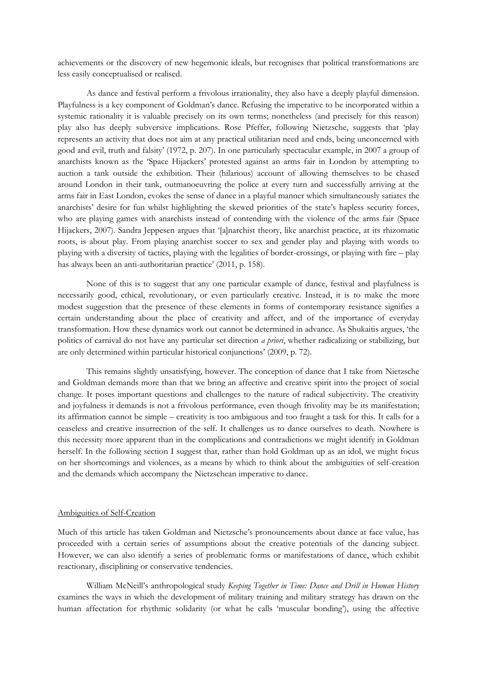achievements or the discovery of new hegemonic ideals, but recognises that political transformations are less easily conceptualised or realised.

As dance and festival perform a frivolous irrationality, they also have a deeply playful dimension. Playfulness is a key component of Goldman's dance. Refusing the imperative to be incorporated within a systemic rationality it is valuable precisely on its own terms; nonetheless (and precisely for this reason) play also has deeply subversive implications. Rose Pfeffer, following Nietzsche, suggests that 'play represents an activity that does not aim at any practical utilitarian need and ends, being unconcerned with good and evil, truth and falsity' (1972, p. 207). In one particularly spectacular example, in 2007 a group of anarchists known as the 'Space Hijackers' protested against an arms fair in London by attempting to auction a tank outside the exhibition. Their (hilarious) account of allowing themselves to be chased around London in their tank, outmanoeuvring the police at every turn and successfully arriving at the arms fair in East London, evokes the sense of dance in a playful manner which simultaneously satiates the anarchists' desire for fun whilst highlighting the skewed priorities of the state's hapless security forces, who are playing games with anarchists instead of contending with the violence of the arms fair (Space Hijackers, 2007). Sandra Jeppesen argues that '[a]narchist theory, like anarchist practice, at its rhizomatic roots, is about play. From playing anarchist soccer to sex and gender play and playing with words to playing with a diversity of tactics, playing with the legalities of border-crossings, or playing with fire – play has always been an anti-authoritarian practice' (2011, p. 158).

None of this is to suggest that any one particular example of dance, festival and playfulness is necessarily good, ethical, revolutionary, or even particularly creative. Instead, it is to make the more modest suggestion that the presence of these elements in forms of contemporary resistance signifies a certain understanding about the place of creativity and affect, and of the importance of everyday transformation. How these dynamics work out cannot be determined in advance. As Shukaitis argues, 'the politics of carnival do not have any particular set direction *a priori*, whether radicalizing or stabilizing, but are only determined within particular historical conjunctions' (2009, p. 72).

This remains slightly unsatisfying, however. The conception of dance that I take from Nietzsche and Goldman demands more than that we bring an affective and creative spirit into the project of social change. It poses important questions and challenges to the nature of radical subjectivity. The creativity and joyfulness it demands is not a frivolous performance, even though frivolity may be its manifestation; its affirmation cannot be simple – creativity is too ambiguous and too fraught a task for this. It calls for a ceaseless and creative insurrection of the self. It challenges us to dance ourselves to death. Nowhere is this necessity more apparent than in the complications and contradictions we might identify in Goldman herself. In the following section I suggest that, rather than hold Goldman up as an idol, we might focus on her shortcomings and violences, as a means by which to think about the ambiguities of self-creation and the demands which accompany the Nietzschean imperative to dance.

#### Ambiguities of Self-Creation

Much of this article has taken Goldman and Nietzsche's pronouncements about dance at face value, has proceeded with a certain series of assumptions about the creative potentials of the dancing subject. However, we can also identify a series of problematic forms or manifestations of dance, which exhibit reactionary, disciplining or conservative tendencies.

William McNeill's anthropological study *Keeping Together in Time: Dance and Drill in Human History* examines the ways in which the development of military training and military strategy has drawn on the human affectation for rhythmic solidarity (or what he calls 'muscular bonding'), using the affective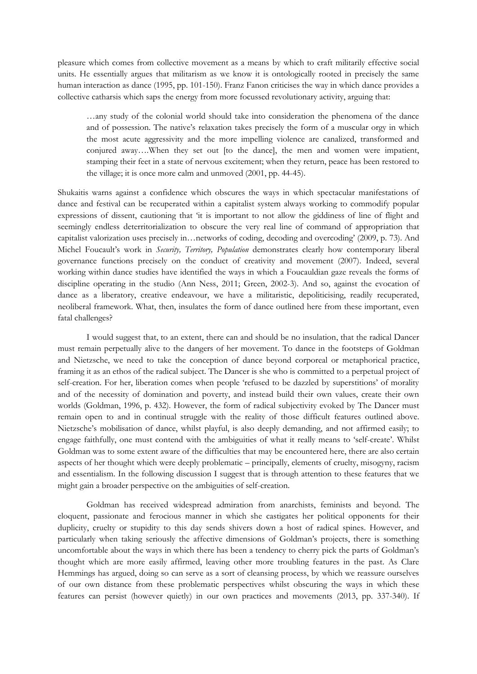pleasure which comes from collective movement as a means by which to craft militarily effective social units. He essentially argues that militarism as we know it is ontologically rooted in precisely the same human interaction as dance (1995, pp. 101-150). Franz Fanon criticises the way in which dance provides a collective catharsis which saps the energy from more focussed revolutionary activity, arguing that:

…any study of the colonial world should take into consideration the phenomena of the dance and of possession. The native's relaxation takes precisely the form of a muscular orgy in which the most acute aggressivity and the more impelling violence are canalized, transformed and conjured away….When they set out [to the dance], the men and women were impatient, stamping their feet in a state of nervous excitement; when they return, peace has been restored to the village; it is once more calm and unmoved (2001, pp. 44-45).

Shukaitis warns against a confidence which obscures the ways in which spectacular manifestations of dance and festival can be recuperated within a capitalist system always working to commodify popular expressions of dissent, cautioning that 'it is important to not allow the giddiness of line of flight and seemingly endless deterritorialization to obscure the very real line of command of appropriation that capitalist valorization uses precisely in…networks of coding, decoding and overcoding' (2009, p. 73). And Michel Foucault's work in *Security, Territory, Population* demonstrates clearly how contemporary liberal governance functions precisely on the conduct of creativity and movement (2007). Indeed, several working within dance studies have identified the ways in which a Foucauldian gaze reveals the forms of discipline operating in the studio (Ann Ness, 2011; Green, 2002-3). And so, against the evocation of dance as a liberatory, creative endeavour, we have a militaristic, depoliticising, readily recuperated, neoliberal framework. What, then, insulates the form of dance outlined here from these important, even fatal challenges?

I would suggest that, to an extent, there can and should be no insulation, that the radical Dancer must remain perpetually alive to the dangers of her movement. To dance in the footsteps of Goldman and Nietzsche, we need to take the conception of dance beyond corporeal or metaphorical practice, framing it as an ethos of the radical subject. The Dancer is she who is committed to a perpetual project of self-creation. For her, liberation comes when people 'refused to be dazzled by superstitions' of morality and of the necessity of domination and poverty, and instead build their own values, create their own worlds (Goldman, 1996, p. 432). However, the form of radical subjectivity evoked by The Dancer must remain open to and in continual struggle with the reality of those difficult features outlined above. Nietzsche's mobilisation of dance, whilst playful, is also deeply demanding, and not affirmed easily; to engage faithfully, one must contend with the ambiguities of what it really means to 'self-create'. Whilst Goldman was to some extent aware of the difficulties that may be encountered here, there are also certain aspects of her thought which were deeply problematic – principally, elements of cruelty, misogyny, racism and essentialism. In the following discussion I suggest that is through attention to these features that we might gain a broader perspective on the ambiguities of self-creation.

Goldman has received widespread admiration from anarchists, feminists and beyond. The eloquent, passionate and ferocious manner in which she castigates her political opponents for their duplicity, cruelty or stupidity to this day sends shivers down a host of radical spines. However, and particularly when taking seriously the affective dimensions of Goldman's projects, there is something uncomfortable about the ways in which there has been a tendency to cherry pick the parts of Goldman's thought which are more easily affirmed, leaving other more troubling features in the past. As Clare Hemmings has argued, doing so can serve as a sort of cleansing process, by which we reassure ourselves of our own distance from these problematic perspectives whilst obscuring the ways in which these features can persist (however quietly) in our own practices and movements (2013, pp. 337-340). If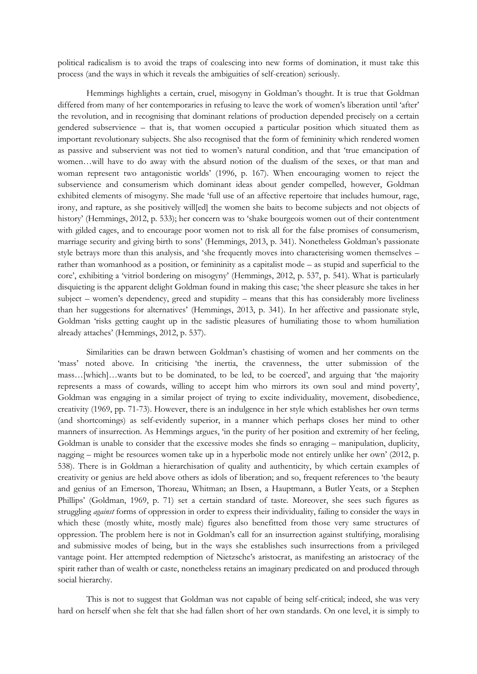political radicalism is to avoid the traps of coalescing into new forms of domination, it must take this process (and the ways in which it reveals the ambiguities of self-creation) seriously.

Hemmings highlights a certain, cruel, misogyny in Goldman's thought. It is true that Goldman differed from many of her contemporaries in refusing to leave the work of women's liberation until 'after' the revolution, and in recognising that dominant relations of production depended precisely on a certain gendered subservience – that is, that women occupied a particular position which situated them as important revolutionary subjects. She also recognised that the form of femininity which rendered women as passive and subservient was not tied to women's natural condition, and that 'true emancipation of women…will have to do away with the absurd notion of the dualism of the sexes, or that man and woman represent two antagonistic worlds' (1996, p. 167). When encouraging women to reject the subservience and consumerism which dominant ideas about gender compelled, however, Goldman exhibited elements of misogyny. She made 'full use of an affective repertoire that includes humour, rage, irony, and rapture, as she positively will[ed] the women she baits to become subjects and not objects of history' (Hemmings, 2012, p. 533); her concern was to 'shake bourgeois women out of their contentment with gilded cages, and to encourage poor women not to risk all for the false promises of consumerism, marriage security and giving birth to sons' (Hemmings, 2013, p. 341). Nonetheless Goldman's passionate style betrays more than this analysis, and 'she frequently moves into characterising women themselves – rather than womanhood as a position, or femininity as a capitalist mode – as stupid and superficial to the core', exhibiting a 'vitriol bordering on misogyny' (Hemmings, 2012, p. 537, p. 541). What is particularly disquieting is the apparent delight Goldman found in making this case; 'the sheer pleasure she takes in her subject – women's dependency, greed and stupidity – means that this has considerably more liveliness than her suggestions for alternatives' (Hemmings, 2013, p. 341). In her affective and passionate style, Goldman 'risks getting caught up in the sadistic pleasures of humiliating those to whom humiliation already attaches' (Hemmings, 2012, p. 537).

Similarities can be drawn between Goldman's chastising of women and her comments on the 'mass' noted above. In criticising 'the inertia, the cravenness, the utter submission of the mass…[which]…wants but to be dominated, to be led, to be coerced', and arguing that 'the majority represents a mass of cowards, willing to accept him who mirrors its own soul and mind poverty', Goldman was engaging in a similar project of trying to excite individuality, movement, disobedience, creativity (1969, pp. 71-73). However, there is an indulgence in her style which establishes her own terms (and shortcomings) as self-evidently superior, in a manner which perhaps closes her mind to other manners of insurrection. As Hemmings argues, 'in the purity of her position and extremity of her feeling, Goldman is unable to consider that the excessive modes she finds so enraging – manipulation, duplicity, nagging – might be resources women take up in a hyperbolic mode not entirely unlike her own' (2012, p. 538). There is in Goldman a hierarchisation of quality and authenticity, by which certain examples of creativity or genius are held above others as idols of liberation; and so, frequent references to 'the beauty and genius of an Emerson, Thoreau, Whitman; an Ibsen, a Hauptmann, a Butler Yeats, or a Stephen Phillips' (Goldman, 1969, p. 71) set a certain standard of taste. Moreover, she sees such figures as struggling *against* forms of oppression in order to express their individuality, failing to consider the ways in which these (mostly white, mostly male) figures also benefitted from those very same structures of oppression. The problem here is not in Goldman's call for an insurrection against stultifying, moralising and submissive modes of being, but in the ways she establishes such insurrections from a privileged vantage point. Her attempted redemption of Nietzsche's aristocrat, as manifesting an aristocracy of the spirit rather than of wealth or caste, nonetheless retains an imaginary predicated on and produced through social hierarchy.

This is not to suggest that Goldman was not capable of being self-critical; indeed, she was very hard on herself when she felt that she had fallen short of her own standards. On one level, it is simply to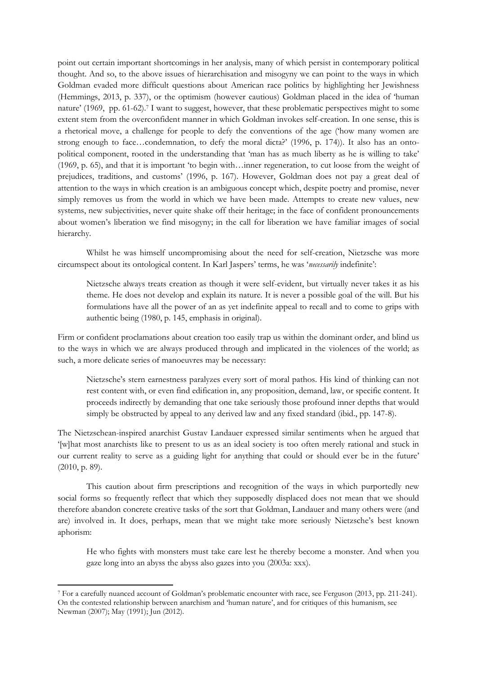point out certain important shortcomings in her analysis, many of which persist in contemporary political thought. And so, to the above issues of hierarchisation and misogyny we can point to the ways in which Goldman evaded more difficult questions about American race politics by highlighting her Jewishness (Hemmings, 2013, p. 337), or the optimism (however cautious) Goldman placed in the idea of 'human nature' (1969, pp. 61-62).<sup>7</sup> I want to suggest, however, that these problematic perspectives might to some extent stem from the overconfident manner in which Goldman invokes self-creation. In one sense, this is a rhetorical move, a challenge for people to defy the conventions of the age ('how many women are strong enough to face...condemnation, to defy the moral dicta?' (1996, p. 174)). It also has an ontopolitical component, rooted in the understanding that 'man has as much liberty as he is willing to take' (1969, p. 65), and that it is important 'to begin with…inner regeneration, to cut loose from the weight of prejudices, traditions, and customs' (1996, p. 167). However, Goldman does not pay a great deal of attention to the ways in which creation is an ambiguous concept which, despite poetry and promise, never simply removes us from the world in which we have been made. Attempts to create new values, new systems, new subjectivities, never quite shake off their heritage; in the face of confident pronouncements about women's liberation we find misogyny; in the call for liberation we have familiar images of social hierarchy.

Whilst he was himself uncompromising about the need for self-creation, Nietzsche was more circumspect about its ontological content. In Karl Jaspers' terms, he was '*necessarily* indefinite':

Nietzsche always treats creation as though it were self-evident, but virtually never takes it as his theme. He does not develop and explain its nature. It is never a possible goal of the will. But his formulations have all the power of an as yet indefinite appeal to recall and to come to grips with authentic being (1980, p. 145, emphasis in original).

Firm or confident proclamations about creation too easily trap us within the dominant order, and blind us to the ways in which we are always produced through and implicated in the violences of the world; as such, a more delicate series of manoeuvres may be necessary:

Nietzsche's stern earnestness paralyzes every sort of moral pathos. His kind of thinking can not rest content with, or even find edification in, any proposition, demand, law, or specific content. It proceeds indirectly by demanding that one take seriously those profound inner depths that would simply be obstructed by appeal to any derived law and any fixed standard (ibid., pp. 147-8).

The Nietzschean-inspired anarchist Gustav Landauer expressed similar sentiments when he argued that '[w]hat most anarchists like to present to us as an ideal society is too often merely rational and stuck in our current reality to serve as a guiding light for anything that could or should ever be in the future' (2010, p. 89).

This caution about firm prescriptions and recognition of the ways in which purportedly new social forms so frequently reflect that which they supposedly displaced does not mean that we should therefore abandon concrete creative tasks of the sort that Goldman, Landauer and many others were (and are) involved in. It does, perhaps, mean that we might take more seriously Nietzsche's best known aphorism:

He who fights with monsters must take care lest he thereby become a monster. And when you gaze long into an abyss the abyss also gazes into you (2003a: xxx).

 $\overline{a}$ 

<sup>7</sup> For a carefully nuanced account of Goldman's problematic encounter with race, see Ferguson (2013, pp. 211-241). On the contested relationship between anarchism and 'human nature', and for critiques of this humanism, see Newman (2007); May (1991); Jun (2012).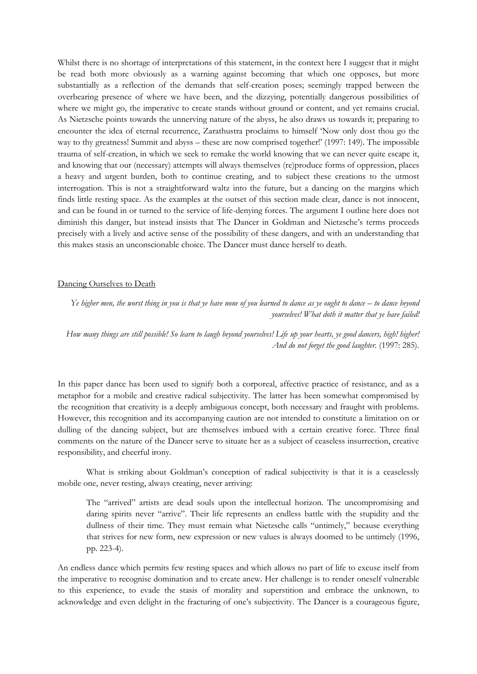Whilst there is no shortage of interpretations of this statement, in the context here I suggest that it might be read both more obviously as a warning against becoming that which one opposes, but more substantially as a reflection of the demands that self-creation poses; seemingly trapped between the overbearing presence of where we have been, and the dizzying, potentially dangerous possibilities of where we might go, the imperative to create stands without ground or content, and yet remains crucial. As Nietzsche points towards the unnerving nature of the abyss, he also draws us towards it; preparing to encounter the idea of eternal recurrence, Zarathustra proclaims to himself 'Now only dost thou go the way to thy greatness! Summit and abyss – these are now comprised together!' (1997: 149). The impossible trauma of self-creation, in which we seek to remake the world knowing that we can never quite escape it, and knowing that our (necessary) attempts will always themselves (re)produce forms of oppression, places a heavy and urgent burden, both to continue creating, and to subject these creations to the utmost interrogation. This is not a straightforward waltz into the future, but a dancing on the margins which finds little resting space. As the examples at the outset of this section made clear, dance is not innocent, and can be found in or turned to the service of life-denying forces. The argument I outline here does not diminish this danger, but instead insists that The Dancer in Goldman and Nietzsche's terms proceeds precisely with a lively and active sense of the possibility of these dangers, and with an understanding that this makes stasis an unconscionable choice. The Dancer must dance herself to death.

#### Dancing Ourselves to Death

*Ye higher men, the worst thing in you is that ye have none of you learned to dance as ye ought to dance – to dance beyond yourselves! What doth it matter that ye have failed!* 

*How many things are still possible! So learn to laugh beyond yourselves! Life up your hearts, ye good dancers, high! higher! And do not forget the good laughter.* (1997: 285).

In this paper dance has been used to signify both a corporeal, affective practice of resistance, and as a metaphor for a mobile and creative radical subjectivity. The latter has been somewhat compromised by the recognition that creativity is a deeply ambiguous concept, both necessary and fraught with problems. However, this recognition and its accompanying caution are not intended to constitute a limitation on or dulling of the dancing subject, but are themselves imbued with a certain creative force. Three final comments on the nature of the Dancer serve to situate her as a subject of ceaseless insurrection, creative responsibility, and cheerful irony.

What is striking about Goldman's conception of radical subjectivity is that it is a ceaselessly mobile one, never resting, always creating, never arriving:

The "arrived" artists are dead souls upon the intellectual horizon. The uncompromising and daring spirits never "arrive". Their life represents an endless battle with the stupidity and the dullness of their time. They must remain what Nietzsche calls "untimely," because everything that strives for new form, new expression or new values is always doomed to be untimely (1996, pp. 223-4).

An endless dance which permits few resting spaces and which allows no part of life to excuse itself from the imperative to recognise domination and to create anew. Her challenge is to render oneself vulnerable to this experience, to evade the stasis of morality and superstition and embrace the unknown, to acknowledge and even delight in the fracturing of one's subjectivity. The Dancer is a courageous figure,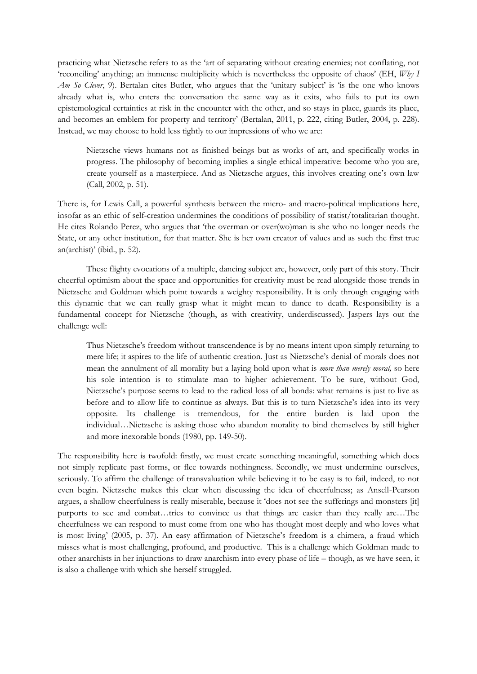practicing what Nietzsche refers to as the 'art of separating without creating enemies; not conflating, not 'reconciling' anything; an immense multiplicity which is nevertheless the opposite of chaos' (EH, *Why I Am So Clever*, 9). Bertalan cites Butler, who argues that the 'unitary subject' is 'is the one who knows already what is, who enters the conversation the same way as it exits, who fails to put its own epistemological certainties at risk in the encounter with the other, and so stays in place, guards its place, and becomes an emblem for property and territory' (Bertalan, 2011, p. 222, citing Butler, 2004, p. 228). Instead, we may choose to hold less tightly to our impressions of who we are:

Nietzsche views humans not as finished beings but as works of art, and specifically works in progress. The philosophy of becoming implies a single ethical imperative: become who you are, create yourself as a masterpiece. And as Nietzsche argues, this involves creating one's own law (Call, 2002, p. 51).

There is, for Lewis Call, a powerful synthesis between the micro- and macro-political implications here, insofar as an ethic of self-creation undermines the conditions of possibility of statist/totalitarian thought. He cites Rolando Perez, who argues that 'the overman or over(wo)man is she who no longer needs the State, or any other institution, for that matter. She is her own creator of values and as such the first true an(archist)' (ibid., p. 52).

These flighty evocations of a multiple, dancing subject are, however, only part of this story. Their cheerful optimism about the space and opportunities for creativity must be read alongside those trends in Nietzsche and Goldman which point towards a weighty responsibility. It is only through engaging with this dynamic that we can really grasp what it might mean to dance to death. Responsibility is a fundamental concept for Nietzsche (though, as with creativity, underdiscussed). Jaspers lays out the challenge well:

Thus Nietzsche's freedom without transcendence is by no means intent upon simply returning to mere life; it aspires to the life of authentic creation. Just as Nietzsche's denial of morals does not mean the annulment of all morality but a laying hold upon what is *more than merely moral,* so here his sole intention is to stimulate man to higher achievement. To be sure, without God, Nietzsche's purpose seems to lead to the radical loss of all bonds: what remains is just to live as before and to allow life to continue as always. But this is to turn Nietzsche's idea into its very opposite. Its challenge is tremendous, for the entire burden is laid upon the individual…Nietzsche is asking those who abandon morality to bind themselves by still higher and more inexorable bonds (1980, pp. 149-50).

The responsibility here is twofold: firstly, we must create something meaningful, something which does not simply replicate past forms, or flee towards nothingness. Secondly, we must undermine ourselves, seriously. To affirm the challenge of transvaluation while believing it to be easy is to fail, indeed, to not even begin. Nietzsche makes this clear when discussing the idea of cheerfulness; as Ansell-Pearson argues, a shallow cheerfulness is really miserable, because it 'does not see the sufferings and monsters [it] purports to see and combat…tries to convince us that things are easier than they really are…The cheerfulness we can respond to must come from one who has thought most deeply and who loves what is most living' (2005, p. 37). An easy affirmation of Nietzsche's freedom is a chimera, a fraud which misses what is most challenging, profound, and productive. This is a challenge which Goldman made to other anarchists in her injunctions to draw anarchism into every phase of life – though, as we have seen, it is also a challenge with which she herself struggled.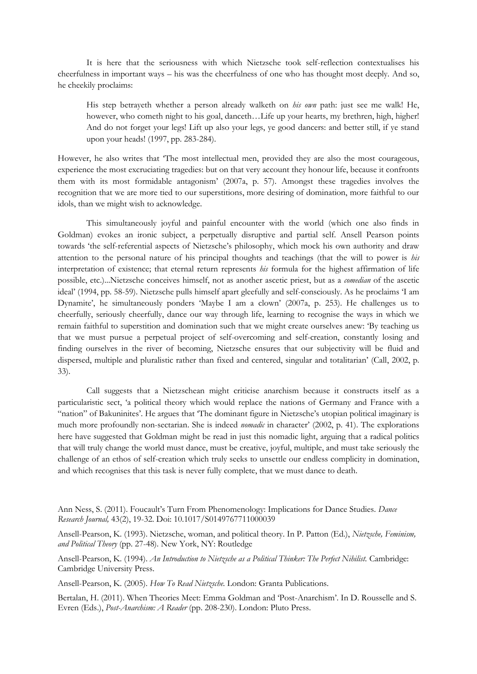It is here that the seriousness with which Nietzsche took self-reflection contextualises his cheerfulness in important ways – his was the cheerfulness of one who has thought most deeply. And so, he cheekily proclaims:

His step betrayeth whether a person already walketh on *his own* path: just see me walk! He, however, who cometh night to his goal, danceth...Life up your hearts, my brethren, high, higher! And do not forget your legs! Lift up also your legs, ye good dancers: and better still, if ye stand upon your heads! (1997, pp. 283-284).

However, he also writes that 'The most intellectual men, provided they are also the most courageous, experience the most excruciating tragedies: but on that very account they honour life, because it confronts them with its most formidable antagonism' (2007a, p. 57). Amongst these tragedies involves the recognition that we are more tied to our superstitions, more desiring of domination, more faithful to our idols, than we might wish to acknowledge.

This simultaneously joyful and painful encounter with the world (which one also finds in Goldman) evokes an ironic subject, a perpetually disruptive and partial self. Ansell Pearson points towards 'the self-referential aspects of Nietzsche's philosophy, which mock his own authority and draw attention to the personal nature of his principal thoughts and teachings (that the will to power is *his*  interpretation of existence; that eternal return represents *his* formula for the highest affirmation of life possible, etc.)...Nietzsche conceives himself, not as another ascetic priest, but as a *comedian* of the ascetic ideal' (1994, pp. 58-59). Nietzsche pulls himself apart gleefully and self-consciously. As he proclaims 'I am Dynamite', he simultaneously ponders 'Maybe I am a clown' (2007a, p. 253). He challenges us to cheerfully, seriously cheerfully, dance our way through life, learning to recognise the ways in which we remain faithful to superstition and domination such that we might create ourselves anew: 'By teaching us that we must pursue a perpetual project of self-overcoming and self-creation, constantly losing and finding ourselves in the river of becoming, Nietzsche ensures that our subjectivity will be fluid and dispersed, multiple and pluralistic rather than fixed and centered, singular and totalitarian' (Call, 2002, p. 33).

Call suggests that a Nietzschean might criticise anarchism because it constructs itself as a particularistic sect, 'a political theory which would replace the nations of Germany and France with a "nation" of Bakuninites'. He argues that 'The dominant figure in Nietzsche's utopian political imaginary is much more profoundly non-sectarian. She is indeed *nomadic* in character' (2002, p. 41). The explorations here have suggested that Goldman might be read in just this nomadic light, arguing that a radical politics that will truly change the world must dance, must be creative, joyful, multiple, and must take seriously the challenge of an ethos of self-creation which truly seeks to unsettle our endless complicity in domination, and which recognises that this task is never fully complete, that we must dance to death.

Ann Ness, S. (2011). Foucault's Turn From Phenomenology: Implications for Dance Studies. *Dance Research Journal,* 43(2), 19-32. Doi: 10.1017/S0149767711000039

Ansell-Pearson, K. (1993). Nietzsche, woman, and political theory. In P. Patton (Ed.), *Nietzsche, Feminism, and Political Theory* (pp. 27-48). New York, NY: Routledge

Ansell-Pearson, K. (1994). *An Introduction to Nietzsche as a Political Thinker: The Perfect Nihilist.* Cambridge: Cambridge University Press.

Ansell-Pearson, K. (2005). *How To Read Nietzsche.* London: Granta Publications.

Bertalan, H. (2011). When Theories Meet: Emma Goldman and 'Post-Anarchism'. In D. Rousselle and S. Evren (Eds.), *Post-Anarchism: A Reader* (pp. 208-230). London: Pluto Press.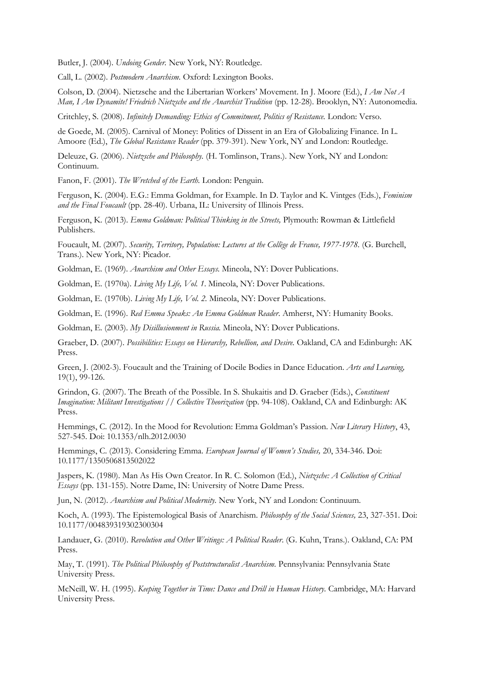Butler, J. (2004). *Undoing Gender.* New York, NY: Routledge.

Call, L. (2002). *Postmodern Anarchism.* Oxford: Lexington Books.

Colson, D. (2004). Nietzsche and the Libertarian Workers' Movement. In J. Moore (Ed.), *I Am Not A Man, I Am Dynamite! Friedrich Nietzsche and the Anarchist Tradition* (pp. 12-28). Brooklyn, NY: Autonomedia.

Critchley, S. (2008). *Infinitely Demanding: Ethics of Commitment, Politics of Resistance.* London: Verso.

de Goede, M. (2005). Carnival of Money: Politics of Dissent in an Era of Globalizing Finance. In L. Amoore (Ed.), *The Global Resistance Reader* (pp. 379-391). New York, NY and London: Routledge.

Deleuze, G. (2006). *Nietzsche and Philosophy.* (H. Tomlinson, Trans.). New York, NY and London: Continuum.

Fanon, F. (2001). *The Wretched of the Earth.* London: Penguin.

Ferguson, K. (2004). E.G.: Emma Goldman, for Example. In D. Taylor and K. Vintges (Eds.), *Feminism and the Final Foucault* (pp. 28-40). Urbana, IL: University of Illinois Press.

Ferguson, K. (2013). *Emma Goldman: Political Thinking in the Streets,* Plymouth: Rowman & Littlefield Publishers.

Foucault, M. (2007). *Security, Territory, Population: Lectures at the Collège de France, 1977-1978.* (G. Burchell, Trans.). New York, NY: Picador.

Goldman, E. (1969). *Anarchism and Other Essays.* Mineola, NY: Dover Publications.

Goldman, E. (1970a). *Living My Life, Vol. 1*. Mineola, NY: Dover Publications.

Goldman, E. (1970b). *Living My Life, Vol. 2.* Mineola, NY: Dover Publications.

Goldman, E. (1996). *Red Emma Speaks: An Emma Goldman Reader*. Amherst, NY: Humanity Books.

Goldman, E. (2003). *My Disillusionment in Russia.* Mineola, NY: Dover Publications.

Graeber, D. (2007). *Possibilities: Essays on Hierarchy, Rebellion, and Desire.* Oakland, CA and Edinburgh: AK Press.

Green, J. (2002-3). Foucault and the Training of Docile Bodies in Dance Education. *Arts and Learning,*  19(1), 99-126.

Grindon, G. (2007). The Breath of the Possible. In S. Shukaitis and D. Graeber (Eds.), *Constituent Imagination: Militant Investigations // Collective Theorization* (pp. 94-108). Oakland, CA and Edinburgh: AK Press.

Hemmings, C. (2012). In the Mood for Revolution: Emma Goldman's Passion. *New Literary History*, 43, 527-545. Doi: 10.1353/nlh.2012.0030

Hemmings, C. (2013). Considering Emma. *European Journal of Women's Studies,* 20, 334-346. Doi: 10.1177/1350506813502022

Jaspers, K. (1980). Man As His Own Creator. In R. C. Solomon (Ed.), *Nietzsche: A Collection of Critical Essays* (pp. 131-155). Notre Dame, IN: University of Notre Dame Press.

Jun, N. (2012). *Anarchism and Political Modernity.* New York, NY and London: Continuum.

Koch, A. (1993). The Epistemological Basis of Anarchism. *Philosophy of the Social Sciences,* 23, 327-351. Doi: 10.1177/004839319302300304

Landauer, G. (2010). *Revolution and Other Writings: A Political Reader*. (G. Kuhn, Trans.). Oakland, CA: PM Press.

May, T. (1991). *The Political Philosophy of Poststructuralist Anarchism.* Pennsylvania: Pennsylvania State University Press.

McNeill, W. H. (1995). *Keeping Together in Time: Dance and Drill in Human History.* Cambridge, MA: Harvard University Press.